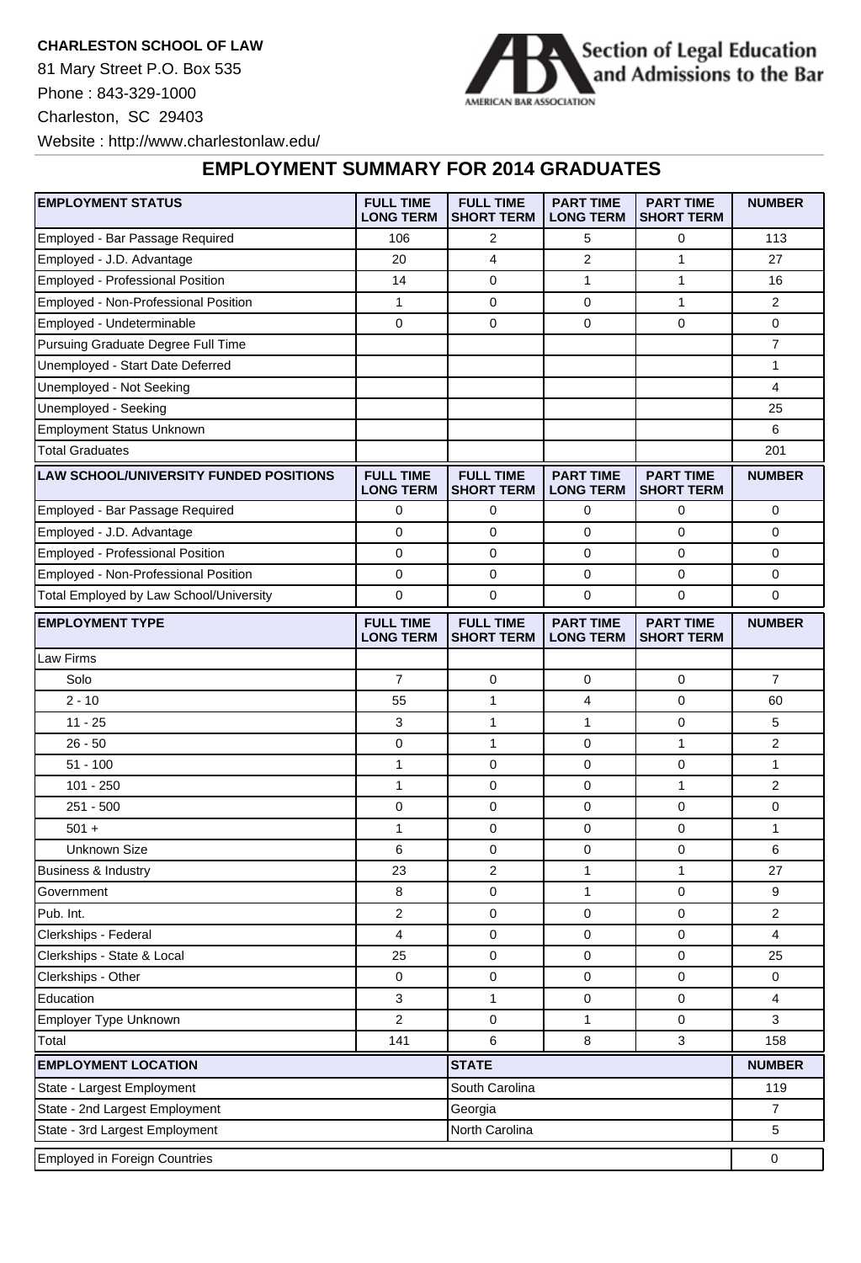**CHARLESTON SCHOOL OF LAW**

81 Mary Street P.O. Box 535 Phone : 843-329-1000 Charleston, SC 29403 Website : http://www.charlestonlaw.edu/



## **EMPLOYMENT SUMMARY FOR 2014 GRADUATES**

| <b>EMPLOYMENT STATUS</b>                         | <b>FULL TIME</b><br><b>LONG TERM</b> | <b>FULL TIME</b><br><b>SHORT TERM</b> | <b>PART TIME</b><br><b>LONG TERM</b> | <b>PART TIME</b><br><b>SHORT TERM</b> | <b>NUMBER</b>  |
|--------------------------------------------------|--------------------------------------|---------------------------------------|--------------------------------------|---------------------------------------|----------------|
| Employed - Bar Passage Required                  | 106                                  | 2                                     | 5                                    | $\mathbf 0$                           | 113            |
| Employed - J.D. Advantage                        | 20                                   | 4                                     | $\overline{2}$                       | 1                                     | 27             |
| <b>Employed - Professional Position</b>          | 14                                   | $\mathbf 0$                           | $\mathbf{1}$                         | $\mathbf{1}$                          | 16             |
| Employed - Non-Professional Position             | $\mathbf{1}$                         | $\mathbf 0$                           | 0                                    | $\mathbf{1}$                          | 2              |
| Employed - Undeterminable                        | 0                                    | 0                                     | 0                                    | 0                                     | 0              |
| Pursuing Graduate Degree Full Time               |                                      |                                       |                                      |                                       | $\overline{7}$ |
| Unemployed - Start Date Deferred                 |                                      |                                       |                                      |                                       | 1              |
| Unemployed - Not Seeking                         |                                      |                                       |                                      |                                       | 4              |
| Unemployed - Seeking                             |                                      |                                       |                                      |                                       | 25             |
| <b>Employment Status Unknown</b>                 |                                      |                                       |                                      |                                       | 6              |
| <b>Total Graduates</b>                           |                                      |                                       |                                      |                                       | 201            |
| <b>LAW SCHOOL/UNIVERSITY FUNDED POSITIONS</b>    | <b>FULL TIME</b><br><b>LONG TERM</b> | <b>FULL TIME</b><br><b>SHORT TERM</b> | <b>PART TIME</b><br><b>LONG TERM</b> | <b>PART TIME</b><br><b>SHORT TERM</b> | <b>NUMBER</b>  |
| Employed - Bar Passage Required                  | 0                                    | 0                                     | 0                                    | 0                                     | 0              |
| Employed - J.D. Advantage                        | 0                                    | $\mathbf 0$                           | 0                                    | 0                                     | 0              |
| <b>Employed - Professional Position</b>          | $\mathbf 0$                          | $\mathbf 0$                           | $\mathbf 0$                          | 0                                     | $\mathbf 0$    |
| Employed - Non-Professional Position             | 0                                    | 0                                     | $\mathbf 0$                          | 0                                     | 0              |
| Total Employed by Law School/University          | 0                                    | $\mathbf 0$                           | $\mathbf 0$                          | 0                                     | 0              |
| <b>EMPLOYMENT TYPE</b>                           | <b>FULL TIME</b><br><b>LONG TERM</b> | <b>FULL TIME</b><br><b>SHORT TERM</b> | <b>PART TIME</b><br><b>LONG TERM</b> | <b>PART TIME</b><br><b>SHORT TERM</b> | <b>NUMBER</b>  |
| Law Firms                                        |                                      |                                       |                                      |                                       |                |
| Solo                                             | $\overline{7}$                       | 0                                     | $\mathbf 0$                          | 0                                     | $\overline{7}$ |
| $2 - 10$                                         | 55                                   | 1                                     | 4                                    | 0                                     | 60             |
| $11 - 25$                                        | 3                                    | $\mathbf{1}$                          | $\mathbf{1}$                         | 0                                     | 5              |
| $26 - 50$                                        | 0                                    | 1                                     | 0                                    | 1                                     | 2              |
| $51 - 100$                                       | 1                                    | 0                                     | $\mathbf 0$                          | 0                                     | 1              |
| $101 - 250$                                      | 1                                    | 0                                     | 0                                    | 1                                     | $\overline{2}$ |
| $251 - 500$                                      | 0                                    | $\mathbf 0$                           | 0                                    | 0                                     | 0              |
| $501 +$                                          | 1                                    | $\mathbf 0$                           | $\mathbf 0$                          | 0                                     | 1              |
| <b>Unknown Size</b>                              | 6                                    | 0                                     | 0                                    | 0                                     | 6              |
| Business & Industry                              | 23                                   | 2                                     | 1                                    | $\mathbf{1}$                          | 27             |
| Government                                       | 8                                    | 0                                     | 1                                    | 0                                     | 9              |
| Pub. Int.                                        | $\boldsymbol{2}$                     | 0                                     | 0                                    | 0                                     | $\overline{c}$ |
| Clerkships - Federal                             | 4                                    | $\mathbf 0$                           | $\mathbf 0$                          | 0                                     | 4              |
| Clerkships - State & Local                       | 25                                   | 0                                     | $\pmb{0}$                            | 0                                     | 25             |
| Clerkships - Other                               | 0                                    | 0                                     | $\mathbf 0$                          | 0                                     | 0              |
| Education                                        | 3                                    | $\mathbf{1}$                          | $\mathbf 0$                          | 0                                     | $\overline{4}$ |
| Employer Type Unknown                            | $\overline{2}$                       | 0                                     | 1                                    | 0                                     | 3              |
| Total                                            | 141                                  | 6                                     | 8                                    | 3                                     | 158            |
| <b>EMPLOYMENT LOCATION</b>                       |                                      |                                       | <b>STATE</b>                         |                                       |                |
| State - Largest Employment                       | South Carolina                       |                                       |                                      | 119                                   |                |
| State - 2nd Largest Employment<br>Georgia        |                                      |                                       |                                      |                                       | $\overline{7}$ |
| North Carolina<br>State - 3rd Largest Employment |                                      |                                       |                                      |                                       | 5              |
| <b>Employed in Foreign Countries</b>             |                                      |                                       |                                      |                                       | $\mathbf 0$    |